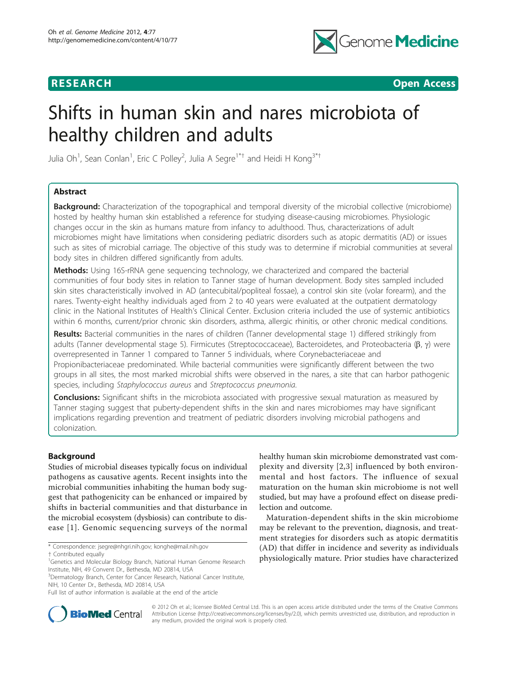# **RESEARCH CONTROL** CONTROL CONTROL CONTROL CONTROL CONTROL CONTROL CONTROL CONTROL CONTROL CONTROL CONTROL CONTROL CONTROL CONTROL CONTROL CONTROL CONTROL CONTROL CONTROL CONTROL CONTROL CONTROL CONTROL CONTROL CONTROL CON



# Shifts in human skin and nares microbiota of healthy children and adults

Julia Oh $^1$ , Sean Conlan $^1$ , Eric C Polley $^2$ , Julia A Segre $^{1\ast +}$  and Heidi H Kong $^{3\ast +}$ 

# Abstract

**Background:** Characterization of the topographical and temporal diversity of the microbial collective (microbiome) hosted by healthy human skin established a reference for studying disease-causing microbiomes. Physiologic changes occur in the skin as humans mature from infancy to adulthood. Thus, characterizations of adult microbiomes might have limitations when considering pediatric disorders such as atopic dermatitis (AD) or issues such as sites of microbial carriage. The objective of this study was to determine if microbial communities at several body sites in children differed significantly from adults.

Methods: Using 16S-rRNA gene sequencing technology, we characterized and compared the bacterial communities of four body sites in relation to Tanner stage of human development. Body sites sampled included skin sites characteristically involved in AD (antecubital/popliteal fossae), a control skin site (volar forearm), and the nares. Twenty-eight healthy individuals aged from 2 to 40 years were evaluated at the outpatient dermatology clinic in the National Institutes of Health's Clinical Center. Exclusion criteria included the use of systemic antibiotics within 6 months, current/prior chronic skin disorders, asthma, allergic rhinitis, or other chronic medical conditions.

Results: Bacterial communities in the nares of children (Tanner developmental stage 1) differed strikingly from adults (Tanner developmental stage 5). Firmicutes (Streptococcaceae), Bacteroidetes, and Proteobacteria  $(\beta, \gamma)$  were overrepresented in Tanner 1 compared to Tanner 5 individuals, where Corynebacteriaceae and Propionibacteriaceae predominated. While bacterial communities were significantly different between the two groups in all sites, the most marked microbial shifts were observed in the nares, a site that can harbor pathogenic species, including Staphylococcus aureus and Streptococcus pneumonia.

**Conclusions:** Significant shifts in the microbiota associated with progressive sexual maturation as measured by Tanner staging suggest that puberty-dependent shifts in the skin and nares microbiomes may have significant implications regarding prevention and treatment of pediatric disorders involving microbial pathogens and colonization.

# Background

Studies of microbial diseases typically focus on individual pathogens as causative agents. Recent insights into the microbial communities inhabiting the human body suggest that pathogenicity can be enhanced or impaired by shifts in bacterial communities and that disturbance in the microbial ecosystem (dysbiosis) can contribute to disease [[1\]](#page-10-0). Genomic sequencing surveys of the normal

healthy human skin microbiome demonstrated vast complexity and diversity [[2,3](#page-10-0)] influenced by both environmental and host factors. The influence of sexual maturation on the human skin microbiome is not well studied, but may have a profound effect on disease predilection and outcome.

Maturation-dependent shifts in the skin microbiome may be relevant to the prevention, diagnosis, and treatment strategies for disorders such as atopic dermatitis (AD) that differ in incidence and severity as individuals physiologically mature. Prior studies have characterized



© 2012 Oh et al.; licensee BioMed Central Ltd. This is an open access article distributed under the terms of the Creative Commons Attribution License [\(http://creativecommons.org/licenses/by/2.0](http://creativecommons.org/licenses/by/2.0)), which permits unrestricted use, distribution, and reproduction in any medium, provided the original work is properly cited.

<sup>\*</sup> Correspondence: [jsegre@nhgri.nih.gov](mailto:jsegre@nhgri.nih.gov); [konghe@mail.nih.gov](mailto:konghe@mail.nih.gov)

<sup>†</sup> Contributed equally <sup>1</sup>

<sup>&</sup>lt;sup>1</sup>Genetics and Molecular Biology Branch, National Human Genome Research Institute, NIH, 49 Convent Dr., Bethesda, MD 20814, USA

<sup>&</sup>lt;sup>3</sup>Dermatology Branch, Center for Cancer Research, National Cancer Institute, NIH, 10 Center Dr., Bethesda, MD 20814, USA

Full list of author information is available at the end of the article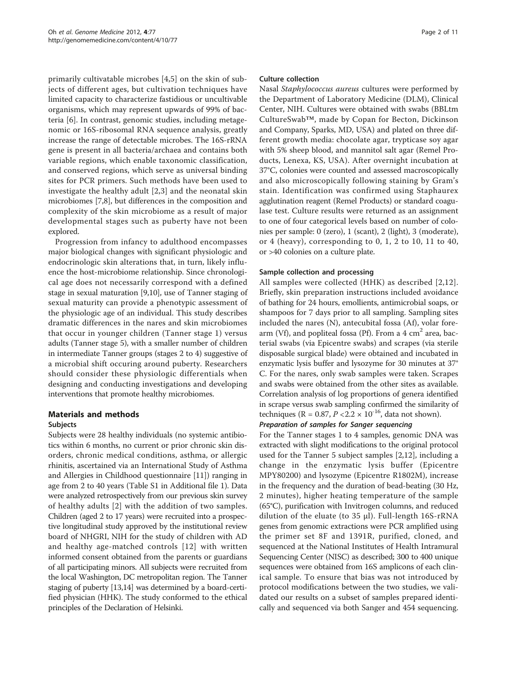primarily cultivatable microbes [[4,5](#page-10-0)] on the skin of subjects of different ages, but cultivation techniques have limited capacity to characterize fastidious or uncultivable organisms, which may represent upwards of 99% of bacteria [\[6](#page-10-0)]. In contrast, genomic studies, including metagenomic or 16S-ribosomal RNA sequence analysis, greatly increase the range of detectable microbes. The 16S-rRNA gene is present in all bacteria/archaea and contains both variable regions, which enable taxonomic classification, and conserved regions, which serve as universal binding sites for PCR primers. Such methods have been used to investigate the healthy adult [\[2](#page-10-0),[3\]](#page-10-0) and the neonatal skin microbiomes [[7,8\]](#page-10-0), but differences in the composition and complexity of the skin microbiome as a result of major developmental stages such as puberty have not been explored.

Progression from infancy to adulthood encompasses major biological changes with significant physiologic and endocrinologic skin alterations that, in turn, likely influence the host-microbiome relationship. Since chronological age does not necessarily correspond with a defined stage in sexual maturation [\[9,10\]](#page-10-0), use of Tanner staging of sexual maturity can provide a phenotypic assessment of the physiologic age of an individual. This study describes dramatic differences in the nares and skin microbiomes that occur in younger children (Tanner stage 1) versus adults (Tanner stage 5), with a smaller number of children in intermediate Tanner groups (stages 2 to 4) suggestive of a microbial shift occuring around puberty. Researchers should consider these physiologic differentials when designing and conducting investigations and developing interventions that promote healthy microbiomes.

# Materials and methods

# Subjects

Subjects were 28 healthy individuals (no systemic antibiotics within 6 months, no current or prior chronic skin disorders, chronic medical conditions, asthma, or allergic rhinitis, ascertained via an International Study of Asthma and Allergies in Childhood questionnaire [\[11\]](#page-10-0)) ranging in age from 2 to 40 years (Table S1 in Additional file [1](#page-9-0)). Data were analyzed retrospectively from our previous skin survey of healthy adults [[2](#page-10-0)] with the addition of two samples. Children (aged 2 to 17 years) were recruited into a prospective longitudinal study approved by the institutional review board of NHGRI, NIH for the study of children with AD and healthy age-matched controls [[12\]](#page-10-0) with written informed consent obtained from the parents or guardians of all participating minors. All subjects were recruited from the local Washington, DC metropolitan region. The Tanner staging of puberty [\[13,14](#page-10-0)] was determined by a board-certified physician (HHK). The study conformed to the ethical principles of the Declaration of Helsinki.

### Culture collection

Nasal Staphylococcus aureus cultures were performed by the Department of Laboratory Medicine (DLM), Clinical Center, NIH. Cultures were obtained with swabs (BBLtm CultureSwab™, made by Copan for Becton, Dickinson and Company, Sparks, MD, USA) and plated on three different growth media: chocolate agar, trypticase soy agar with 5% sheep blood, and mannitol salt agar (Remel Products, Lenexa, KS, USA). After overnight incubation at 37°C, colonies were counted and assessed macroscopically and also microscopically following staining by Gram's stain. Identification was confirmed using Staphaurex agglutination reagent (Remel Products) or standard coagulase test. Culture results were returned as an assignment to one of four categorical levels based on number of colonies per sample: 0 (zero), 1 (scant), 2 (light), 3 (moderate), or 4 (heavy), corresponding to 0, 1, 2 to 10, 11 to 40, or >40 colonies on a culture plate.

### Sample collection and processing

All samples were collected (HHK) as described [[2](#page-10-0),[12\]](#page-10-0). Briefly, skin preparation instructions included avoidance of bathing for 24 hours, emollients, antimicrobial soaps, or shampoos for 7 days prior to all sampling. Sampling sites included the nares (N), antecubital fossa (Af), volar forearm (Vf), and popliteal fossa (Pf). From a  $4 \text{ cm}^2$  area, bacterial swabs (via Epicentre swabs) and scrapes (via sterile disposable surgical blade) were obtained and incubated in enzymatic lysis buffer and lysozyme for 30 minutes at 37° C. For the nares, only swab samples were taken. Scrapes and swabs were obtained from the other sites as available. Correlation analysis of log proportions of genera identified in scrape versus swab sampling confirmed the similarity of techniques (R = 0.87,  $P < 2.2 \times 10^{-16}$ , data not shown).

For the Tanner stages 1 to 4 samples, genomic DNA was extracted with slight modifications to the original protocol used for the Tanner 5 subject samples [[2,12\]](#page-10-0), including a change in the enzymatic lysis buffer (Epicentre MPY80200) and lysozyme (Epicentre R1802M), increase in the frequency and the duration of bead-beating (30 Hz, 2 minutes), higher heating temperature of the sample (65°C), purification with Invitrogen columns, and reduced dilution of the eluate (to 35 μl). Full-length 16S-rRNA genes from genomic extractions were PCR amplified using the primer set 8F and 1391R, purified, cloned, and sequenced at the National Institutes of Health Intramural Sequencing Center (NISC) as described; 300 to 400 unique sequences were obtained from 16S amplicons of each clinical sample. To ensure that bias was not introduced by protocol modifications between the two studies, we validated our results on a subset of samples prepared identically and sequenced via both Sanger and 454 sequencing.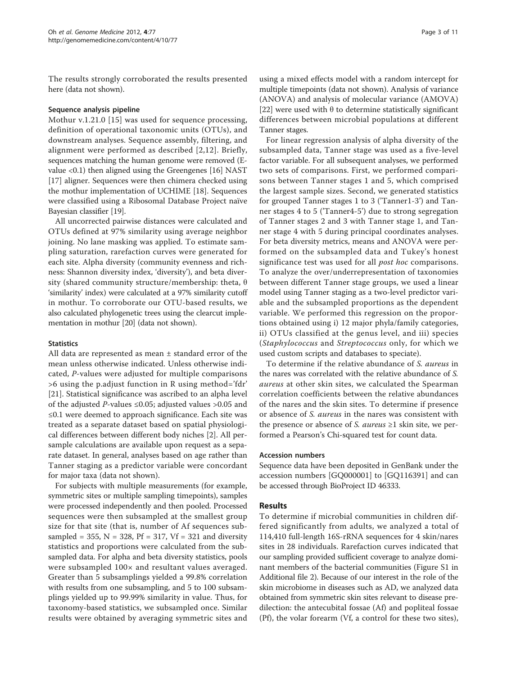The results strongly corroborated the results presented here (data not shown).

### Sequence analysis pipeline

Mothur v.1.21.0 [\[15](#page-10-0)] was used for sequence processing, definition of operational taxonomic units (OTUs), and downstream analyses. Sequence assembly, filtering, and alignment were performed as described [[2,12](#page-10-0)]. Briefly, sequences matching the human genome were removed (Evalue <0.1) then aligned using the Greengenes [\[16\]](#page-10-0) NAST [[17\]](#page-10-0) aligner. Sequences were then chimera checked using the mothur implementation of UCHIME [\[18\]](#page-10-0). Sequences were classified using a Ribosomal Database Project naïve Bayesian classifier [\[19\]](#page-10-0).

All uncorrected pairwise distances were calculated and OTUs defined at 97% similarity using average neighbor joining. No lane masking was applied. To estimate sampling saturation, rarefaction curves were generated for each site. Alpha diversity (community evenness and richness: Shannon diversity index, 'diversity'), and beta diversity (shared community structure/membership: theta, θ 'similarity' index) were calculated at a 97% similarity cutoff in mothur. To corroborate our OTU-based results, we also calculated phylogenetic trees using the clearcut implementation in mothur [\[20\]](#page-10-0) (data not shown).

### **Statistics**

All data are represented as mean ± standard error of the mean unless otherwise indicated. Unless otherwise indicated, P-values were adjusted for multiple comparisons >6 using the p.adjust function in R using method='fdr' [[21\]](#page-10-0). Statistical significance was ascribed to an alpha level of the adjusted *P*-values  $\leq 0.05$ ; adjusted values  $> 0.05$  and ≤0.1 were deemed to approach significance. Each site was treated as a separate dataset based on spatial physiological differences between different body niches [[2\]](#page-10-0). All persample calculations are available upon request as a separate dataset. In general, analyses based on age rather than Tanner staging as a predictor variable were concordant for major taxa (data not shown).

For subjects with multiple measurements (for example, symmetric sites or multiple sampling timepoints), samples were processed independently and then pooled. Processed sequences were then subsampled at the smallest group size for that site (that is, number of Af sequences subsampled = 355,  $N = 328$ ,  $Pf = 317$ ,  $Vf = 321$  and diversity statistics and proportions were calculated from the subsampled data. For alpha and beta diversity statistics, pools were subsampled 100× and resultant values averaged. Greater than 5 subsamplings yielded a 99.8% correlation with results from one subsampling, and 5 to 100 subsamplings yielded up to 99.99% similarity in value. Thus, for taxonomy-based statistics, we subsampled once. Similar results were obtained by averaging symmetric sites and

using a mixed effects model with a random intercept for multiple timepoints (data not shown). Analysis of variance (ANOVA) and analysis of molecular variance (AMOVA) [[22\]](#page-10-0) were used with  $\theta$  to determine statistically significant differences between microbial populations at different Tanner stages.

For linear regression analysis of alpha diversity of the subsampled data, Tanner stage was used as a five-level factor variable. For all subsequent analyses, we performed two sets of comparisons. First, we performed comparisons between Tanner stages 1 and 5, which comprised the largest sample sizes. Second, we generated statistics for grouped Tanner stages 1 to 3 ('Tanner1-3') and Tanner stages 4 to 5 ('Tanner4-5') due to strong segregation of Tanner stages 2 and 3 with Tanner stage 1, and Tanner stage 4 with 5 during principal coordinates analyses. For beta diversity metrics, means and ANOVA were performed on the subsampled data and Tukey's honest significance test was used for all post hoc comparisons. To analyze the over/underrepresentation of taxonomies between different Tanner stage groups, we used a linear model using Tanner staging as a two-level predictor variable and the subsampled proportions as the dependent variable. We performed this regression on the proportions obtained using i) 12 major phyla/family categories, ii) OTUs classified at the genus level, and iii) species (Staphylococcus and Streptococcus only, for which we used custom scripts and databases to speciate).

To determine if the relative abundance of S. aureus in the nares was correlated with the relative abundance of S. aureus at other skin sites, we calculated the Spearman correlation coefficients between the relative abundances of the nares and the skin sites. To determine if presence or absence of S. aureus in the nares was consistent with the presence or absence of S. aureus  $\geq 1$  skin site, we performed a Pearson's Chi-squared test for count data.

### Accession numbers

Sequence data have been deposited in GenBank under the accession numbers [GQ000001] to [GQ116391] and can be accessed through BioProject ID 46333.

### Results

To determine if microbial communities in children differed significantly from adults, we analyzed a total of 114,410 full-length 16S-rRNA sequences for 4 skin/nares sites in 28 individuals. Rarefaction curves indicated that our sampling provided sufficient coverage to analyze dominant members of the bacterial communities (Figure S1 in Additional file [2](#page-9-0)). Because of our interest in the role of the skin microbiome in diseases such as AD, we analyzed data obtained from symmetric skin sites relevant to disease predilection: the antecubital fossae (Af) and popliteal fossae (Pf), the volar forearm (Vf, a control for these two sites),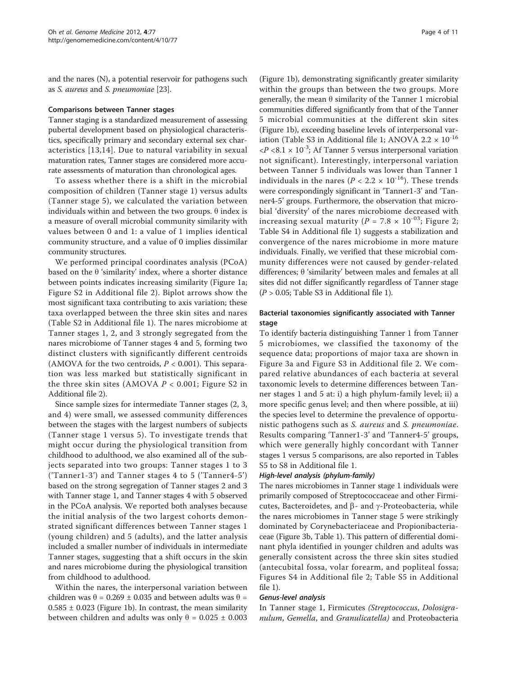and the nares (N), a potential reservoir for pathogens such as S. aureus and S. pneumoniae [\[23](#page-10-0)].

### Comparisons between Tanner stages

Tanner staging is a standardized measurement of assessing pubertal development based on physiological characteristics, specifically primary and secondary external sex characteristics [[13](#page-10-0),[14\]](#page-10-0). Due to natural variability in sexual maturation rates, Tanner stages are considered more accurate assessments of maturation than chronological ages.

To assess whether there is a shift in the microbial composition of children (Tanner stage 1) versus adults (Tanner stage 5), we calculated the variation between individuals within and between the two groups. θ index is a measure of overall microbial community similarity with values between 0 and 1: a value of 1 implies identical community structure, and a value of 0 implies dissimilar community structures.

We performed principal coordinates analysis (PCoA) based on the  $\theta$  'similarity' index, where a shorter distance between points indicates increasing similarity (Figure [1a](#page-4-0); Figure S2 in Additional file [2](#page-9-0)). Biplot arrows show the most significant taxa contributing to axis variation; these taxa overlapped between the three skin sites and nares (Table S2 in Additional file [1](#page-9-0)). The nares microbiome at Tanner stages 1, 2, and 3 strongly segregated from the nares microbiome of Tanner stages 4 and 5, forming two distinct clusters with significantly different centroids (AMOVA for the two centroids,  $P < 0.001$ ). This separation was less marked but statistically significant in the three skin sites (AMOVA  $P < 0.001$ ; Figure S2 in Additional file [2\)](#page-9-0).

Since sample sizes for intermediate Tanner stages (2, 3, and 4) were small, we assessed community differences between the stages with the largest numbers of subjects (Tanner stage 1 versus 5). To investigate trends that might occur during the physiological transition from childhood to adulthood, we also examined all of the subjects separated into two groups: Tanner stages 1 to 3 ('Tanner1-3') and Tanner stages 4 to 5 ('Tanner4-5') based on the strong segregation of Tanner stages 2 and 3 with Tanner stage 1, and Tanner stages 4 with 5 observed in the PCoA analysis. We reported both analyses because the initial analysis of the two largest cohorts demonstrated significant differences between Tanner stages 1 (young children) and 5 (adults), and the latter analysis included a smaller number of individuals in intermediate Tanner stages, suggesting that a shift occurs in the skin and nares microbiome during the physiological transition from childhood to adulthood.

Within the nares, the interpersonal variation between children was  $θ = 0.269 ± 0.035$  and between adults was  $θ =$  $0.585 \pm 0.023$  (Figure [1b](#page-4-0)). In contrast, the mean similarity between children and adults was only  $\theta = 0.025 \pm 0.003$ 

(Figure [1b\)](#page-4-0), demonstrating significantly greater similarity within the groups than between the two groups. More generally, the mean θ similarity of the Tanner 1 microbial communities differed significantly from that of the Tanner 5 microbial communities at the different skin sites (Figure [1b](#page-4-0)), exceeding baseline levels of interpersonal var-iation (Table S3 in Additional file [1;](#page-9-0) ANOVA  $2.2 \times 10^{-16}$  $\langle P \times 8.1 \times 10^{-3} \rangle$ ; Af Tanner 5 versus interpersonal variation not significant). Interestingly, interpersonal variation between Tanner 5 individuals was lower than Tanner 1 individuals in the nares ( $P < 2.2 \times 10^{-16}$ ). These trends were correspondingly significant in 'Tanner1-3' and 'Tanner4-5' groups. Furthermore, the observation that microbial 'diversity' of the nares microbiome decreased with increasing sexual maturity ( $P = 7.8 \times 10^{-03}$ ; Figure [2](#page-5-0); Table S4 in Additional file [1](#page-9-0)) suggests a stabilization and convergence of the nares microbiome in more mature individuals. Finally, we verified that these microbial community differences were not caused by gender-related differences; θ 'similarity' between males and females at all sites did not differ significantly regardless of Tanner stage  $(P > 0.05;$  Table S3 in Additional file [1](#page-9-0)).

# Bacterial taxonomies significantly associated with Tanner stage

To identify bacteria distinguishing Tanner 1 from Tanner 5 microbiomes, we classified the taxonomy of the sequence data; proportions of major taxa are shown in Figure [3a](#page-6-0) and Figure S3 in Additional file [2](#page-9-0). We compared relative abundances of each bacteria at several taxonomic levels to determine differences between Tanner stages 1 and 5 at: i) a high phylum-family level; ii) a more specific genus level; and then where possible, at iii) the species level to determine the prevalence of opportunistic pathogens such as S. aureus and S. pneumoniae. Results comparing 'Tanner1-3' and 'Tanner4-5' groups, which were generally highly concordant with Tanner stages 1 versus 5 comparisons, are also reported in Tables S5 to S8 in Additional file [1](#page-9-0).

The nares microbiomes in Tanner stage 1 individuals were primarily composed of Streptococcaceae and other Firmicutes, Bacteroidetes, and  $\beta$ - and  $\gamma$ -Proteobacteria, while the nares microbiomes in Tanner stage 5 were strikingly dominated by Corynebacteriaceae and Propionibacteriaceae (Figure [3b,](#page-6-0) Table [1](#page-7-0)). This pattern of differential dominant phyla identified in younger children and adults was generally consistent across the three skin sites studied (antecubital fossa, volar forearm, and popliteal fossa; Figures S4 in Additional file [2](#page-9-0); Table S5 in Additional file [1](#page-9-0)).

In Tanner stage 1, Firmicutes (Streptococcus, Dolosigranulum, Gemella, and Granulicatella) and Proteobacteria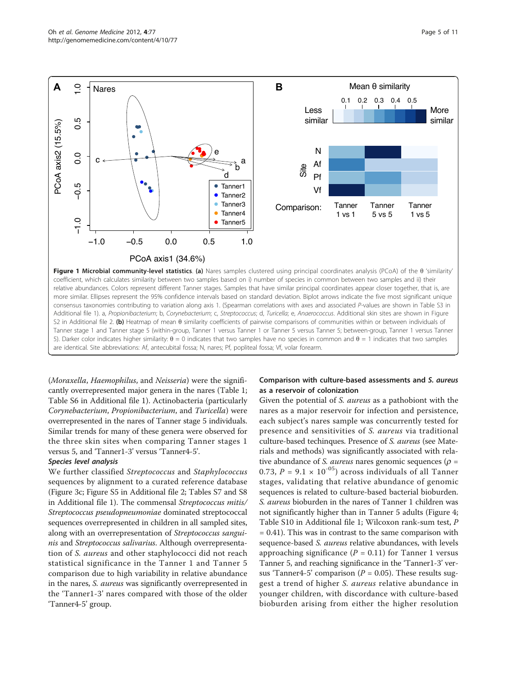<span id="page-4-0"></span>

S2 in Additional file [2](#page-9-0). (b) Heatmap of mean θ similarity coefficients of pairwise comparisons of communities within or between individuals of Tanner stage 1 and Tanner stage 5 (within-group, Tanner 1 versus Tanner 1 or Tanner 5 versus Tanner 5; between-group, Tanner 1 versus Tanner 5). Darker color indicates higher similarity:  $θ = 0$  indicates that two samples have no species in common and  $θ = 1$  indicates that two samples are identical. Site abbreviations: Af, antecubital fossa; N, nares; Pf, popliteal fossa; Vf, volar forearm.

(Moraxella, Haemophilus, and Neisseria) were the significantly overrepresented major genera in the nares (Table [1](#page-7-0); Table S6 in Additional file [1](#page-9-0)). Actinobacteria (particularly Corynebacterium, Propionibacterium, and Turicella) were overrepresented in the nares of Tanner stage 5 individuals. Similar trends for many of these genera were observed for the three skin sites when comparing Tanner stages 1 versus 5, and 'Tanner1-3' versus 'Tanner4-5'.

We further classified Streptococcus and Staphylococcus sequences by alignment to a curated reference database (Figure [3c;](#page-6-0) Figure S5 in Additional file [2](#page-9-0); Tables S7 and S8 in Additional file [1\)](#page-9-0). The commensal Streptococcus mitis/ Streptococcus pseudopneumoniae dominated streptococcal sequences overrepresented in children in all sampled sites, along with an overrepresentation of Streptococcus sanguinis and Streptococcus salivarius. Although overrepresentation of S. aureus and other staphylococci did not reach statistical significance in the Tanner 1 and Tanner 5 comparison due to high variability in relative abundance in the nares, S. aureus was significantly overrepresented in the 'Tanner1-3' nares compared with those of the older 'Tanner4-5' group.

# Comparison with culture-based assessments and S. aureus as a reservoir of colonization

Given the potential of *S. aureus* as a pathobiont with the nares as a major reservoir for infection and persistence, each subject's nares sample was concurrently tested for presence and sensitivities of S. aureus via traditional culture-based techinques. Presence of S. aureus (see Materials and methods) was significantly associated with relative abundance of *S. aureus* nares genomic sequences ( $\rho$  = 0.73,  $P = 9.1 \times 10^{-05}$ ) across individuals of all Tanner stages, validating that relative abundance of genomic sequences is related to culture-based bacterial bioburden. S. aureus bioburden in the nares of Tanner 1 children was not significantly higher than in Tanner 5 adults (Figure [4](#page-8-0); Table S10 in Additional file [1](#page-9-0); Wilcoxon rank-sum test, P = 0.41). This was in contrast to the same comparison with sequence-based S. aureus relative abundances, with levels approaching significance ( $P = 0.11$ ) for Tanner 1 versus Tanner 5, and reaching significance in the 'Tanner1-3' versus 'Tanner4-5' comparison ( $P = 0.05$ ). These results suggest a trend of higher S. aureus relative abundance in younger children, with discordance with culture-based bioburden arising from either the higher resolution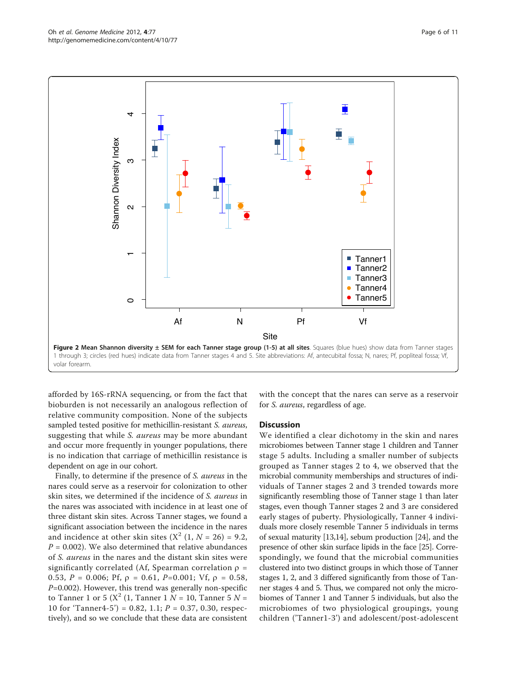<span id="page-5-0"></span>

afforded by 16S-rRNA sequencing, or from the fact that bioburden is not necessarily an analogous reflection of relative community composition. None of the subjects sampled tested positive for methicillin-resistant S. aureus, suggesting that while *S. aureus* may be more abundant and occur more frequently in younger populations, there is no indication that carriage of methicillin resistance is dependent on age in our cohort.

Finally, to determine if the presence of S. aureus in the nares could serve as a reservoir for colonization to other skin sites, we determined if the incidence of S. aureus in the nares was associated with incidence in at least one of three distant skin sites. Across Tanner stages, we found a significant association between the incidence in the nares and incidence at other skin sites  $(X^2 (1, N = 26) = 9.2,$  $P = 0.002$ ). We also determined that relative abundances of S. aureus in the nares and the distant skin sites were significantly correlated (Af, Spearman correlation  $\rho =$ 0.53,  $P = 0.006$ ; Pf,  $\rho = 0.61$ ,  $P=0.001$ ; Vf,  $\rho = 0.58$ ,  $P=0.002$ ). However, this trend was generally non-specific to Tanner 1 or 5 ( $X^2$  (1, Tanner 1  $N = 10$ , Tanner 5  $N =$ 10 for 'Tanner4-5') = 0.82, 1.1;  $P = 0.37$ , 0.30, respectively), and so we conclude that these data are consistent with the concept that the nares can serve as a reservoir for S. aureus, regardless of age.

### **Discussion**

We identified a clear dichotomy in the skin and nares microbiomes between Tanner stage 1 children and Tanner stage 5 adults. Including a smaller number of subjects grouped as Tanner stages 2 to 4, we observed that the microbial community memberships and structures of individuals of Tanner stages 2 and 3 trended towards more significantly resembling those of Tanner stage 1 than later stages, even though Tanner stages 2 and 3 are considered early stages of puberty. Physiologically, Tanner 4 individuals more closely resemble Tanner 5 individuals in terms of sexual maturity [[13,14\]](#page-10-0), sebum production [[24](#page-10-0)], and the presence of other skin surface lipids in the face [\[25\]](#page-10-0). Correspondingly, we found that the microbial communities clustered into two distinct groups in which those of Tanner stages 1, 2, and 3 differed significantly from those of Tanner stages 4 and 5. Thus, we compared not only the microbiomes of Tanner 1 and Tanner 5 individuals, but also the microbiomes of two physiological groupings, young children ('Tanner1-3') and adolescent/post-adolescent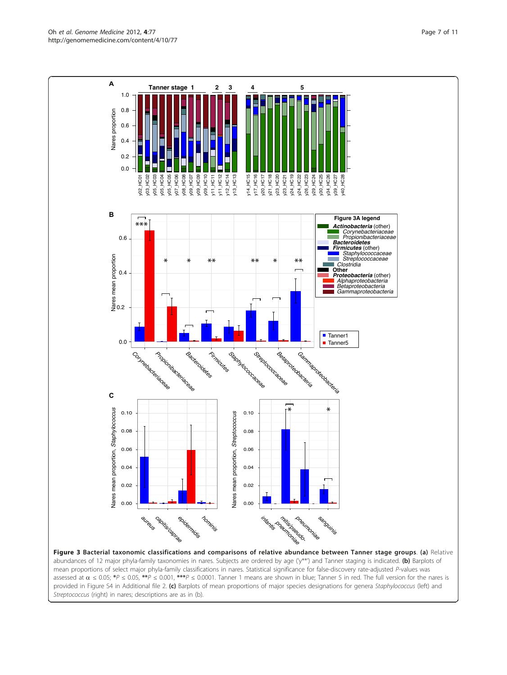0.00 0.02 0.04 0.06 0.08 *aureus capitis/caprae epidermidis hominis infantis pneumoniae* mitis<sub>de</sub><br>Mitisdeep *pneumoniae sanguinis* 0.00 0.02 0.04 0.06 0.08 Figure 3 Bacterial taxonomic classifications and comparisons of relative abundance between Tanner stage groups. (a) Relative abundances of 12 major phyla-family taxonomies in nares. Subjects are ordered by age ('y\*\*') and Tanner staging is indicated. (b) Barplots of mean proportions of select major phyla-family classifications in nares. Statistical significance for false-discovery rate-adjusted P-values was assessed at  $\alpha \le 0.05$ ; \*P  $\le 0.05$ , \*\*P  $\le 0.001$ , \*\*\*P  $\le 0.0001$ . Tanner 1 means are shown in blue; Tanner 5 in red. The full version for the nares is provided in Figure S4 in Additional file [2.](#page-9-0) (c) Barplots of mean proportions of major species designations for genera Staphylococcus (left) and Streptococcus (right) in nares; descriptions are as in (b).

<span id="page-6-0"></span>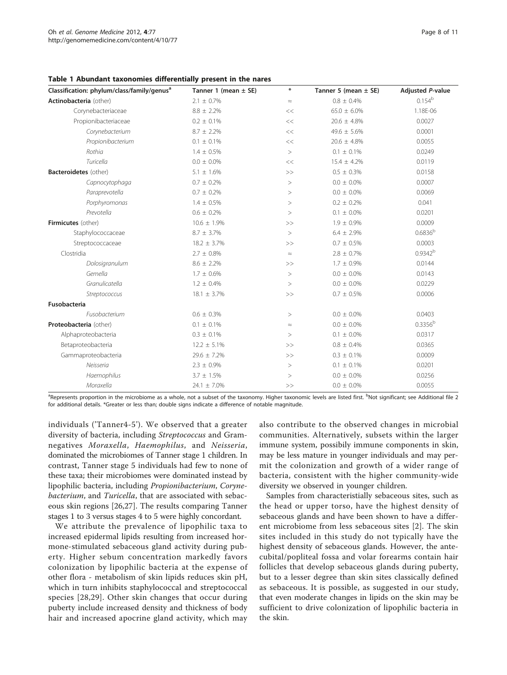<span id="page-7-0"></span>Table 1 Abundant taxonomies differentially present in the nares

| Classification: phylum/class/family/genus <sup>a</sup> | Tanner 1 (mean $\pm$ SE) | $\ast$    | Tanner 5 (mean $\pm$ SE) | <b>Adjusted P-value</b> |
|--------------------------------------------------------|--------------------------|-----------|--------------------------|-------------------------|
| Actinobacteria (other)                                 | $2.1 \pm 0.7\%$          | $\approx$ | $0.8 \pm 0.4\%$          | $0.154^b$               |
| Corynebacteriaceae                                     | $8.8 \pm 2.2\%$          | $<<$      | $65.0 \pm 6.0\%$         | 1.18E-06                |
| Propionibacteriaceae                                   | $0.2 \pm 0.1\%$          | <<        | $20.6 \pm 4.8\%$         | 0.0027                  |
| Corynebacterium                                        | $8.7 \pm 2.2\%$          | $<<$      | 49.6 $\pm$ 5.6%          | 0.0001                  |
| Propionibacterium                                      | $0.1 \pm 0.1\%$          | $<<$      | $20.6 \pm 4.8\%$         | 0.0055                  |
| Rothia                                                 | $1.4 \pm 0.5\%$          | >         | $0.1 \pm 0.1\%$          | 0.0249                  |
| Turicella                                              | $0.0 \pm 0.0\%$          | $<<$      | $15.4 \pm 4.2\%$         | 0.0119                  |
| Bacteroidetes (other)                                  | $5.1 \pm 1.6\%$          | >>        | $0.5 \pm 0.3\%$          | 0.0158                  |
| Capnocytophaga                                         | $0.7 \pm 0.2\%$          | $\,>$     | $0.0 \pm 0.0\%$          | 0.0007                  |
| Paraprevotella                                         | $0.7 \pm 0.2\%$          | >         | $0.0 \pm 0.0\%$          | 0.0069                  |
| Porphyromonas                                          | $1.4 \pm 0.5\%$          | >         | $0.2 \pm 0.2\%$          | 0.041                   |
| Prevotella                                             | $0.6 \pm 0.2\%$          | >         | $0.1 \pm 0.0\%$          | 0.0201                  |
| Firmicutes (other)                                     | $10.6 \pm 1.9\%$         | >>        | $1.9 \pm 0.9\%$          | 0.0009                  |
| Staphylococcaceae                                      | $8.7 \pm 3.7\%$          | $\,>$     | $6.4 \pm 2.9\%$          | 0.6836 <sup>b</sup>     |
| Streptococcaceae                                       | $18.2 \pm 3.7\%$         | >>        | $0.7\,\pm\,0.5\%$        | 0.0003                  |
| Clostridia                                             | $2.7 \pm 0.8\%$          | $\approx$ | $2.8 \pm 0.7\%$          | $0.9342^{b}$            |
| Dolosigranulum                                         | $8.6 \pm 2.2\%$          | >>        | $1.7 \pm 0.9\%$          | 0.0144                  |
| Gemella                                                | $1.7 \pm 0.6\%$          | >         | $0.0 \pm 0.0\%$          | 0.0143                  |
| Granulicatella                                         | $1.2 \pm 0.4\%$          | $\,>$     | $0.0 \pm 0.0\%$          | 0.0229                  |
| Streptococcus                                          | $18.1 \pm 3.7\%$         | $>>$      | $0.7 \pm 0.5\%$          | 0.0006                  |
| Fusobacteria                                           |                          |           |                          |                         |
| Fusobacterium                                          | $0.6 \pm 0.3\%$          | >         | $0.0 \pm 0.0\%$          | 0.0403                  |
| Proteobacteria (other)                                 | $0.1 \pm 0.1\%$          | $\approx$ | $0.0 \pm 0.0\%$          | $0.3356^{b}$            |
| Alphaproteobacteria                                    | $0.3 \pm 0.1\%$          | >         | $0.1 \pm 0.0\%$          | 0.0317                  |
| Betaproteobacteria                                     | $12.2 \pm 5.1\%$         | >>        | $0.8 \pm 0.4\%$          | 0.0365                  |
| Gammaproteobacteria                                    | 29.6 ± 7.2%              | >>        | $0.3 \pm 0.1\%$          | 0.0009                  |
| Neisseria                                              | $2.3 \pm 0.9\%$          | $\,>$     | $0.1 \pm 0.1\%$          | 0.0201                  |
| Haemophilus                                            | $3.7 \pm 1.5\%$          | $\geq$    | $0.0 \pm 0.0\%$          | 0.0256                  |
| Moraxella                                              | 24.1 $\pm$ 7.0%          | >>        | $0.0 \pm 0.0\%$          | 0.0055                  |

<sup>a</sup>Represents proportion in the microbiome as a whole, not a subset of the taxonomy. Higher taxonomic levels are listed first. <sup>b</sup>Not significant; see Additional file [2](#page-9-0) for additional details. \*Greater or less than; double signs indicate a difference of notable magnitude.

individuals ('Tanner4-5'). We observed that a greater diversity of bacteria, including Streptococcus and Gramnegatives Moraxella, Haemophilus, and Neisseria, dominated the microbiomes of Tanner stage 1 children. In contrast, Tanner stage 5 individuals had few to none of these taxa; their microbiomes were dominated instead by lipophilic bacteria, including Propionibacterium, Corynebacterium, and Turicella, that are associated with sebaceous skin regions [\[26,27](#page-10-0)]. The results comparing Tanner stages 1 to 3 versus stages 4 to 5 were highly concordant.

We attribute the prevalence of lipophilic taxa to increased epidermal lipids resulting from increased hormone-stimulated sebaceous gland activity during puberty. Higher sebum concentration markedly favors colonization by lipophilic bacteria at the expense of other flora - metabolism of skin lipids reduces skin pH, which in turn inhibits staphylococcal and streptococcal species [[28](#page-10-0),[29\]](#page-10-0). Other skin changes that occur during puberty include increased density and thickness of body hair and increased apocrine gland activity, which may

also contribute to the observed changes in microbial communities. Alternatively, subsets within the larger immune system, possibily immune components in skin, may be less mature in younger individuals and may permit the colonization and growth of a wider range of bacteria, consistent with the higher community-wide diversity we observed in younger children.

Samples from characteristially sebaceous sites, such as the head or upper torso, have the highest density of sebaceous glands and have been shown to have a different microbiome from less sebaceous sites [[2\]](#page-10-0). The skin sites included in this study do not typically have the highest density of sebaceous glands. However, the antecubital/popliteal fossa and volar forearms contain hair follicles that develop sebaceous glands during puberty, but to a lesser degree than skin sites classically defined as sebaceous. It is possible, as suggested in our study, that even moderate changes in lipids on the skin may be sufficient to drive colonization of lipophilic bacteria in the skin.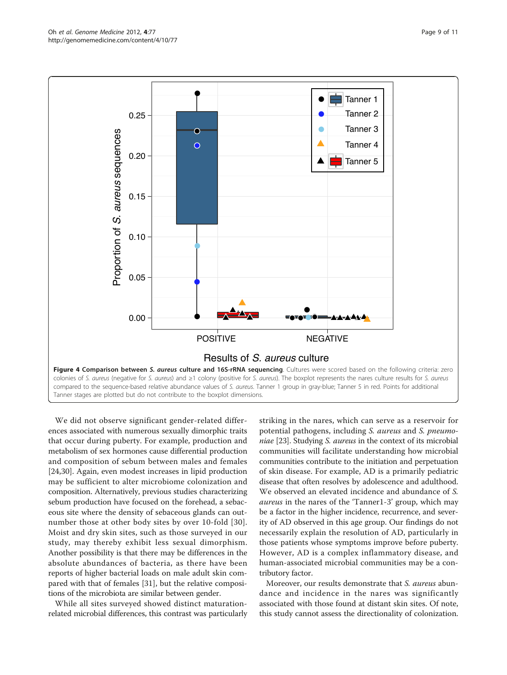<span id="page-8-0"></span>

We did not observe significant gender-related differences associated with numerous sexually dimorphic traits that occur during puberty. For example, production and metabolism of sex hormones cause differential production and composition of sebum between males and females [[24,30\]](#page-10-0). Again, even modest increases in lipid production may be sufficient to alter microbiome colonization and composition. Alternatively, previous studies characterizing sebum production have focused on the forehead, a sebaceous site where the density of sebaceous glands can outnumber those at other body sites by over 10-fold [[30\]](#page-10-0). Moist and dry skin sites, such as those surveyed in our study, may thereby exhibit less sexual dimorphism. Another possibility is that there may be differences in the absolute abundances of bacteria, as there have been reports of higher bacterial loads on male adult skin compared with that of females [[31\]](#page-10-0), but the relative compositions of the microbiota are similar between gender.

While all sites surveyed showed distinct maturationrelated microbial differences, this contrast was particularly striking in the nares, which can serve as a reservoir for potential pathogens, including S. aureus and S. pneumo-niae [\[23\]](#page-10-0). Studying *S. aureus* in the context of its microbial communities will facilitate understanding how microbial communities contribute to the initiation and perpetuation of skin disease. For example, AD is a primarily pediatric disease that often resolves by adolescence and adulthood. We observed an elevated incidence and abundance of S. aureus in the nares of the 'Tanner1-3' group, which may be a factor in the higher incidence, recurrence, and severity of AD observed in this age group. Our findings do not necessarily explain the resolution of AD, particularly in those patients whose symptoms improve before puberty. However, AD is a complex inflammatory disease, and human-associated microbial communities may be a contributory factor.

Moreover, our results demonstrate that S. aureus abundance and incidence in the nares was significantly associated with those found at distant skin sites. Of note, this study cannot assess the directionality of colonization.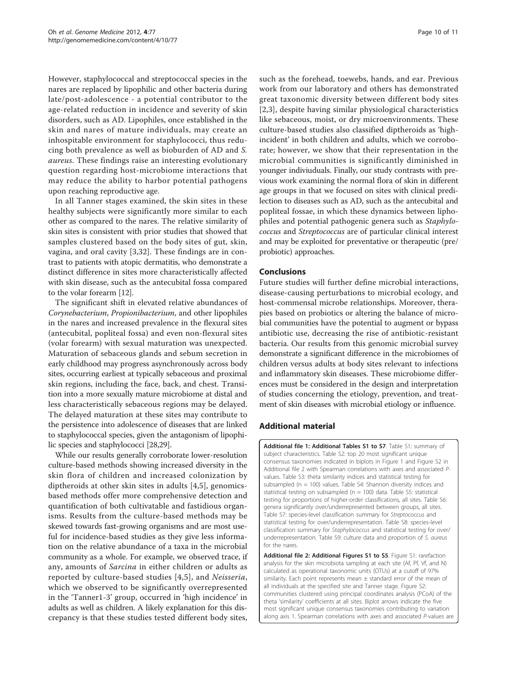<span id="page-9-0"></span>However, staphylococcal and streptococcal species in the nares are replaced by lipophilic and other bacteria during late/post-adolescence - a potential contributor to the age-related reduction in incidence and severity of skin disorders, such as AD. Lipophiles, once established in the skin and nares of mature individuals, may create an inhospitable environment for staphylococci, thus reducing both prevalence as well as bioburden of AD and S. aureus. These findings raise an interesting evolutionary question regarding host-microbiome interactions that may reduce the ability to harbor potential pathogens upon reaching reproductive age.

In all Tanner stages examined, the skin sites in these healthy subjects were significantly more similar to each other as compared to the nares. The relative similarity of skin sites is consistent with prior studies that showed that samples clustered based on the body sites of gut, skin, vagina, and oral cavity [[3,32\]](#page-10-0). These findings are in contrast to patients with atopic dermatitis, who demonstrate a distinct difference in sites more characteristically affected with skin disease, such as the antecubital fossa compared to the volar forearm [\[12\]](#page-10-0).

The significant shift in elevated relative abundances of Corynebacterium, Propionibacterium, and other lipophiles in the nares and increased prevalence in the flexural sites (antecubital, popliteal fossa) and even non-flexural sites (volar forearm) with sexual maturation was unexpected. Maturation of sebaceous glands and sebum secretion in early childhood may progress asynchronously across body sites, occurring earliest at typically sebaceous and proximal skin regions, including the face, back, and chest. Transition into a more sexually mature microbiome at distal and less characteristically sebaceous regions may be delayed. The delayed maturation at these sites may contribute to the persistence into adolescence of diseases that are linked to staphylococcal species, given the antagonism of lipophilic species and staphylococci [\[28,29\]](#page-10-0).

While our results generally corroborate lower-resolution culture-based methods showing increased diversity in the skin flora of children and increased colonization by diptheroids at other skin sites in adults [[4,5](#page-10-0)], genomicsbased methods offer more comprehensive detection and quantification of both cultivatable and fastidious organisms. Results from the culture-based methods may be skewed towards fast-growing organisms and are most useful for incidence-based studies as they give less information on the relative abundance of a taxa in the microbial community as a whole. For example, we observed trace, if any, amounts of Sarcina in either children or adults as reported by culture-based studies [[4,5](#page-10-0)], and Neisseria, which we observed to be significantly overrepresented in the 'Tanner1-3' group, occurred in 'high incidence' in adults as well as children. A likely explanation for this discrepancy is that these studies tested different body sites,

such as the forehead, toewebs, hands, and ear. Previous work from our laboratory and others has demonstrated great taxonomic diversity between different body sites [[2,3](#page-10-0)], despite having similar physiological characteristics like sebaceous, moist, or dry microenvironments. These culture-based studies also classified diptheroids as 'highincident' in both children and adults, which we corroborate; however, we show that their representation in the microbial communities is significantly diminished in younger indiviuduals. Finally, our study contrasts with previous work examining the normal flora of skin in different age groups in that we focused on sites with clinical predilection to diseases such as AD, such as the antecubital and popliteal fossae, in which these dynamics between liphophiles and potential pathogenic genera such as Staphylococcus and Streptococcus are of particular clinical interest and may be exploited for preventative or therapeutic (pre/ probiotic) approaches.

# Conclusions

Future studies will further define microbial interactions, disease-causing perturbations to microbial ecology, and host-commensal microbe relationships. Moreover, therapies based on probiotics or altering the balance of microbial communities have the potential to augment or bypass antibiotic use, decreasing the rise of antibiotic-resistant bacteria. Our results from this genomic microbial survey demonstrate a significant difference in the microbiomes of children versus adults at body sites relevant to infections and inflammatory skin diseases. These microbiome differences must be considered in the design and interpretation of studies concerning the etiology, prevention, and treatment of skin diseases with microbial etiology or influence.

# Additional material

[Additional file 1: A](http://www.biomedcentral.com/content/supplementary/gm378-S1.XLS)dditional Tables S1 to S7. Table S1: summary of subject characteristics. Table S2: top 20 most significant unique consensus taxonomies indicated in biplots in Figure [1](#page-4-0) and Figure S2 in Additional file 2 with Spearman correlations with axes and associated Pvalues. Table S3: theta similarity indices and statistical testing for subsampled ( $n = 100$ ) values. Table S4: Shannon diversity indices and statistical testing on subsampled ( $n = 100$ ) data. Table S5: statistical testing for proportions of higher-order classifications, all sites. Table S6: genera significantly over/underrepresented between groups, all sites. Table S7: species-level classification summary for Streptococcus and statistical testing for over/underrepresentation. Table S8: species-level classification summary for Staphylococcus and statistical testing for over/ underrepresentation. Table S9: culture data and proportion of S. aureus for the nares.

[Additional file 2: A](http://www.biomedcentral.com/content/supplementary/gm378-S2.PDF)dditional Figures S1 to S5. Figure S1: rarefaction analysis for the skin microbiota sampling at each site (Af, Pf, Vf, and N) calculated as operational taxonomic units (OTUs) at a cutoff of 97% similarity. Each point represents mean  $\pm$  standard error of the mean of all individuals at the specified site and Tanner stage. Figure S2: communities clustered using principal coordinates analysis (PCoA) of the theta 'similarity' coefficients at all sites. Biplot arrows indicate the five most significant unique consensus taxonomies contributing to variation along axis 1. Spearman correlations with axes and associated P-values are